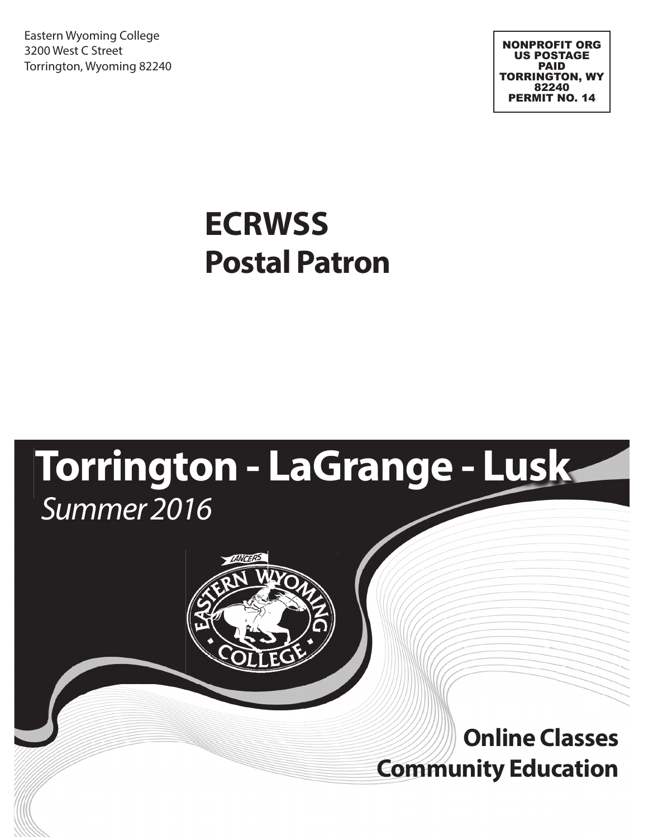Eastern Wyoming College 3200 West C Street Torrington, Wyoming 82240

NONPROFIT ORG US POSTAGE PAID TORRINGTON, WY 82240 PERMIT NO. 14

## **Postal Patron ECRWSS**

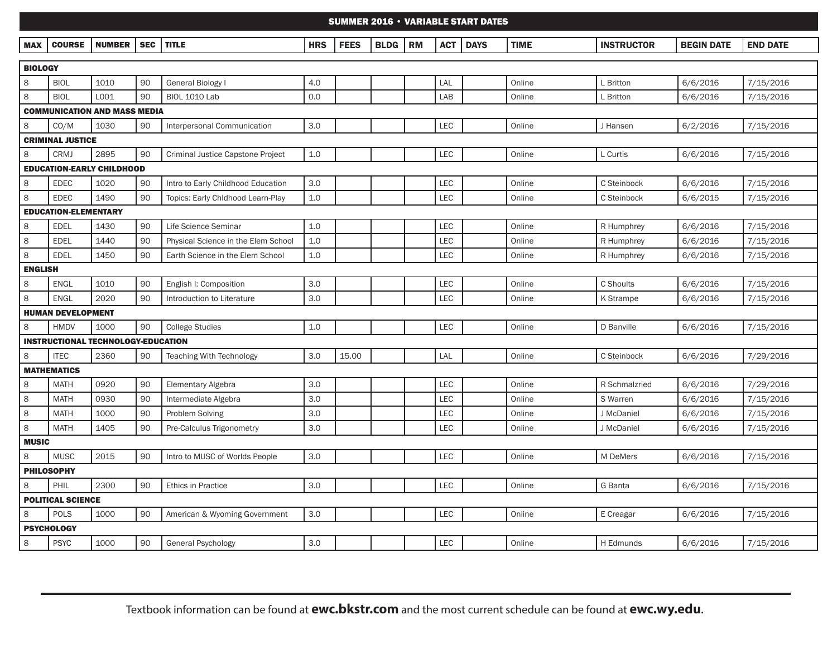#### SUMMER 2016 • VARIABLE START DATES

| <b>MAX</b> | <b>COUR</b> | <b>NUM</b> | . | <b>TITLL</b> | <b>LID</b><br>пк | FEE. | <b>BLDG</b> | ∵RM | AC <sub>1</sub> | <b>DAYS</b> | <b>TIME</b> | <b>זהדהוונ</b><br>*KUCIUN. | $-0.15$<br>- BEGI<br>DATI | <b>END DATL</b> |
|------------|-------------|------------|---|--------------|------------------|------|-------------|-----|-----------------|-------------|-------------|----------------------------|---------------------------|-----------------|
|            |             |            |   |              |                  |      |             |     |                 |             |             |                            |                           |                 |

|                                     | <b>BIOLOGY</b>                   |                                           |    |                                     |     |       |  |  |            |  |        |               |          |           |
|-------------------------------------|----------------------------------|-------------------------------------------|----|-------------------------------------|-----|-------|--|--|------------|--|--------|---------------|----------|-----------|
| 8                                   | <b>BIOL</b>                      | 1010                                      | 90 | <b>General Biology I</b>            | 4.0 |       |  |  | LAL        |  | Online | L Britton     | 6/6/2016 | 7/15/2016 |
| 8                                   | <b>BIOL</b>                      | L001                                      | 90 | <b>BIOL 1010 Lab</b>                | 0.0 |       |  |  | LAB        |  | Online | L Britton     | 6/6/2016 | 7/15/2016 |
| <b>COMMUNICATION AND MASS MEDIA</b> |                                  |                                           |    |                                     |     |       |  |  |            |  |        |               |          |           |
| 8                                   | CO/M                             | 1030                                      | 90 | Interpersonal Communication         | 3.0 |       |  |  | LEC        |  | Online | J Hansen      | 6/2/2016 | 7/15/2016 |
|                                     | <b>CRIMINAL JUSTICE</b>          |                                           |    |                                     |     |       |  |  |            |  |        |               |          |           |
| 8                                   | <b>CRMJ</b>                      | 2895                                      | 90 | Criminal Justice Capstone Project   | 1.0 |       |  |  | <b>LEC</b> |  | Online | L Curtis      | 6/6/2016 | 7/15/2016 |
|                                     | <b>EDUCATION-EARLY CHILDHOOD</b> |                                           |    |                                     |     |       |  |  |            |  |        |               |          |           |
| 8                                   | <b>EDEC</b>                      | 1020                                      | 90 | Intro to Early Childhood Education  | 3.0 |       |  |  | LEC        |  | Online | C Steinbock   | 6/6/2016 | 7/15/2016 |
| 8                                   | <b>EDEC</b>                      | 1490                                      | 90 | Topics: Early Chldhood Learn-Play   | 1.0 |       |  |  | LEC        |  | Online | C Steinbock   | 6/6/2015 | 7/15/2016 |
|                                     | <b>EDUCATION-ELEMENTARY</b>      |                                           |    |                                     |     |       |  |  |            |  |        |               |          |           |
| 8                                   | <b>EDEL</b>                      | 1430                                      | 90 | Life Science Seminar                | 1.0 |       |  |  | LEC        |  | Online | R Humphrey    | 6/6/2016 | 7/15/2016 |
| 8                                   | <b>EDEL</b>                      | 1440                                      | 90 | Physical Science in the Elem School | 1.0 |       |  |  | LEC        |  | Online | R Humphrey    | 6/6/2016 | 7/15/2016 |
| 8                                   | <b>EDEL</b>                      | 1450                                      | 90 | Earth Science in the Elem School    | 1.0 |       |  |  | <b>LEC</b> |  | Online | R Humphrey    | 6/6/2016 | 7/15/2016 |
| <b>ENGLISH</b>                      |                                  |                                           |    |                                     |     |       |  |  |            |  |        |               |          |           |
| 8                                   | <b>ENGL</b>                      | 1010                                      | 90 | English I: Composition              | 3.0 |       |  |  | LEC        |  | Online | C Shoults     | 6/6/2016 | 7/15/2016 |
| 8                                   | <b>ENGL</b>                      | 2020                                      | 90 | Introduction to Literature          | 3.0 |       |  |  | LEC        |  | Online | K Strampe     | 6/6/2016 | 7/15/2016 |
|                                     | <b>HUMAN DEVELOPMENT</b>         |                                           |    |                                     |     |       |  |  |            |  |        |               |          |           |
| 8                                   | <b>HMDV</b>                      | 1000                                      | 90 | <b>College Studies</b>              | 1.0 |       |  |  | LEC        |  | Online | D Banville    | 6/6/2016 | 7/15/2016 |
|                                     |                                  | <b>INSTRUCTIONAL TECHNOLOGY-EDUCATION</b> |    |                                     |     |       |  |  |            |  |        |               |          |           |
| 8                                   | <b>ITEC</b>                      | 2360                                      | 90 | <b>Teaching With Technology</b>     | 3.0 | 15.00 |  |  | LAL        |  | Online | C Steinbock   | 6/6/2016 | 7/29/2016 |
|                                     | <b>MATHEMATICS</b>               |                                           |    |                                     |     |       |  |  |            |  |        |               |          |           |
| 8                                   | <b>MATH</b>                      | 0920                                      | 90 | Elementary Algebra                  | 3.0 |       |  |  | <b>LEC</b> |  | Online | R Schmalzried | 6/6/2016 | 7/29/2016 |
| 8                                   | <b>MATH</b>                      | 0930                                      | 90 | Intermediate Algebra                | 3.0 |       |  |  | LEC        |  | Online | S Warren      | 6/6/2016 | 7/15/2016 |
| 8                                   | <b>MATH</b>                      | 1000                                      | 90 | Problem Solving                     | 3.0 |       |  |  | <b>LEC</b> |  | Online | J McDaniel    | 6/6/2016 | 7/15/2016 |
| 8                                   | <b>MATH</b>                      | 1405                                      | 90 | Pre-Calculus Trigonometry           | 3.0 |       |  |  | <b>LEC</b> |  | Online | J McDaniel    | 6/6/2016 | 7/15/2016 |
| <b>MUSIC</b>                        |                                  |                                           |    |                                     |     |       |  |  |            |  |        |               |          |           |
| 8                                   | <b>MUSC</b>                      | 2015                                      | 90 | Intro to MUSC of Worlds People      | 3.0 |       |  |  | LEC        |  | Online | M DeMers      | 6/6/2016 | 7/15/2016 |
|                                     | <b>PHILOSOPHY</b>                |                                           |    |                                     |     |       |  |  |            |  |        |               |          |           |
| 8                                   | PHIL                             | 2300                                      | 90 | <b>Ethics in Practice</b>           | 3.0 |       |  |  | LEC        |  | Online | G Banta       | 6/6/2016 | 7/15/2016 |
|                                     | <b>POLITICAL SCIENCE</b>         |                                           |    |                                     |     |       |  |  |            |  |        |               |          |           |
| 8                                   | <b>POLS</b>                      | 1000                                      | 90 | American & Wyoming Government       | 3.0 |       |  |  | <b>LEC</b> |  | Online | E Creagar     | 6/6/2016 | 7/15/2016 |
|                                     | <b>PSYCHOLOGY</b>                |                                           |    |                                     |     |       |  |  |            |  |        |               |          |           |
| 8                                   | <b>PSYC</b>                      | 1000                                      | 90 | General Psychology                  | 3.0 |       |  |  | <b>LEC</b> |  | Online | H Edmunds     | 6/6/2016 | 7/15/2016 |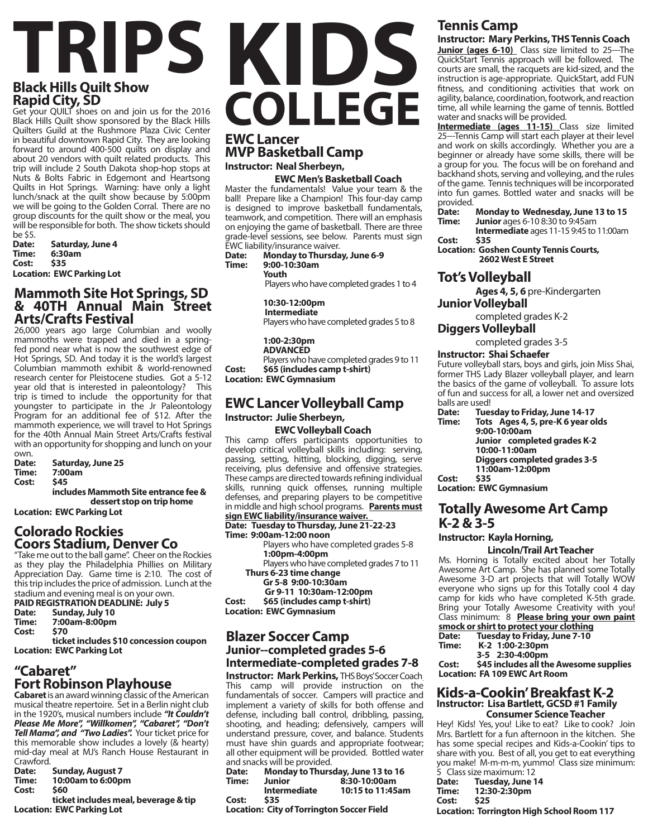#### **Black Hills Quilt Show Rapid City, SD**

Get your QUILT shoes on and join us for the 2016 Black Hills Quilt show sponsored by the Black Hills Quilters Guild at the Rushmore Plaza Civic Center in beautiful downtown Rapid City. They are looking forward to around 400-500 quilts on display and about 20 vendors with quilt related products. This trip will include 2 South Dakota shop-hop stops at Nuts & Bolts Fabric in Edgemont and Heartsong Quilts in Hot Springs. Warning: have only a light lunch/snack at the quilt show because by 5:00pm we will be going to the Golden Corral. There are no group discounts for the quilt show or the meal, you will be responsible for both. The show tickets should be \$5.

**Date: Saturday, June 4 Time: 6:30am Cost: \$35**

**Location: EWC Parking Lot**

#### **Mammoth Site Hot Springs, SD & 40TH Annual Main Street Arts/Crafts Festival**

26,000 years ago large Columbian and woolly mammoths were trapped and died in a springfed pond near what is now the southwest edge of Hot Springs, SD. And today it is the world's largest Columbian mammoth exhibit & world-renowned research center for Pleistocene studies. Got a 5-12 year old that is interested in paleontology? This trip is timed to include the opportunity for that youngster to participate in the Jr Paleontology Program for an additional fee of \$12. After the mammoth experience, we will travel to Hot Springs for the 40th Annual Main Street Arts/Crafts festival with an opportunity for shopping and lunch on your

own.<br>**Date:** Date: Saturday, June 25<br>Time: 7:00am **Time: 7:00am Cost: \$45 includes Mammoth Site entrance fee & dessert stop on trip home**

**Location: EWC Parking Lot**

#### **Colorado Rockies Coors Stadium, Denver Co**

"Take me out to the ball game". Cheer on the Rockies as they play the Philadelphia Phillies on Military Appreciation Day. Game time is 2:10. The cost of this trip includes the price of admission. Lunch at the stadium and evening meal is on your own.

|       | <b>PAID REGISTRATION DEADLINE: July 5</b> |  |
|-------|-------------------------------------------|--|
| Date: | Sunday, July 10                           |  |
| Time: | 7:00am-8:00pm                             |  |

|       | $1.000$ unii vivvpiii |
|-------|-----------------------|
| Cost: | \$70                  |
|       | ticket includes \$10  |

**ticket includes \$10 concession coupon Location: EWC Parking Lot**

#### **"Cabaret" Fort Robinson Playhouse**

**Cabaret** is an award winning classic of the American musical theatre repertoire. Set in a Berlin night club in the 1920's, musical numbers include *"It Couldn't Please Me More", "Willkomen", "Cabaret", "Don't Tell Mama", and "Two Ladies".* Your ticket price for this memorable show includes a lovely (& hearty) mid-day meal at MJ's Ranch House Restaurant in Crawford.<br>Date:

**Date: Sunday, August 7 Time: 10:00am to 6:00pm Cost: \$60** 

#### **ticket includes meal, beverage & tip Location: EWC Parking Lot**

## **TRIPS**<br> **KIDS COLLEGE EWC Lancer**

**MVP Basketball Camp Instructor: Neal Sherbeyn,** 

#### **EWC Men's Basketball Coach**

Master the fundamentals! Value your team & the ball! Prepare like a Champion! This four-day camp is designed to improve basketball fundamentals, teamwork, and competition. There will an emphasis on enjoying the game of basketball. There are three grade-level sessions, see below. Parents must sign EWC liability/insurance waiver.

**Date: Monday to Thursday, June 6-9 Time: 9:00-10:30am** 

**Youth** 

Players who have completed grades 1 to 4

**10:30-12:00pm Intermediate**  Players who have completed grades 5 to 8

**1:00-2:30pm ADVANCED**  Players who have completed grades 9 to 11 **Cost: \$65 (includes camp t-shirt)**

#### **Location: EWC Gymnasium**

#### **EWC Lancer Volleyball Camp Instructor: Julie Sherbeyn,**

#### **EWC Volleyball Coach**

This camp offers participants opportunities to

develop critical volleyball skills including: serving, passing, setting, hitting, blocking, digging, serve receiving, plus defensive and offensive strategies. These camps are directed towards refining individual skills, running quick offenses, running multiple defenses, and preparing players to be competitive in middle and high school programs. **Parents must** 

**sign EWC liability/insurance waiver. Date: Tuesday to Thursday, June 21-22-23 Time: 9:00am-12:00 noon** 

Players who have completed grades 5-8 **1:00pm-4:00pm** 

Players who have completed grades 7 to 11  **Thurs 6-23 time change** 

**Gr 5-8 9:00-10:30am** 

 **Gr 9-11 10:30am-12:00pm**

**Cost: \$65 (includes camp t-shirt) Location: EWC Gymnasium**

#### **Blazer Soccer Camp Junior--completed grades 5-6 Intermediate-completed grades 7-8**

**Instructor: Mark Perkins, THS Boys' Soccer Coach** This camp will provide instruction on the fundamentals of soccer. Campers will practice and implement a variety of skills for both offense and defense, including ball control, dribbling, passing, shooting, and heading; defensively, campers will understand pressure, cover, and balance. Students must have shin guards and appropriate footwear; all other equipment will be provided. Bottled water and snacks will be provided.

|       | and shacks will be provided.                     |                                   |
|-------|--------------------------------------------------|-----------------------------------|
| Date: |                                                  | Monday to Thursday, June 13 to 16 |
| Time: | <b>Junior</b>                                    | 8:30-10:00am                      |
|       | <b>Intermediate</b>                              | 10:15 to 11:45am                  |
| Cost: | \$35                                             |                                   |
|       | <b>Location: City of Torrington Soccer Field</b> |                                   |

### **Tennis Camp**

#### **Instructor: Mary Perkins, THS Tennis Coach**

**Junior (ages 6-10)** Class size limited to 25---The QuickStart Tennis approach will be followed. The courts are small, the racquets are kid-sized, and the instruction is age-appropriate. QuickStart, add FUN fitness, and conditioning activities that work on agility, balance, coordination, footwork, and reaction time, all while learning the game of tennis. Bottled water and snacks will be provided.

**Intermediate (ages 11-15)** Class size limited 25---Tennis Camp will start each player at their level and work on skills accordingly. Whether you are a beginner or already have some skills, there will be a group for you. The focus will be on forehand and backhand shots, serving and volleying, and the rules of the game. Tennis techniques will be incorporated into fun games. Bottled water and snacks will be provided.<sup>7</sup><br>Date:

**Date:** Monday to Wednesday, June 13 to 15<br>**Time:** Junior ages 6-10.8:30 to 9:45am

**Time: Junior** ages 6-10 8:30 to 9:45am

**Intermediate** ages 11-15 9:45 to 11:00am **Cost: \$35**

**Location: Goshen County Tennis Courts, 2602 West E Street**

#### **Tot's Volleyball**

**Ages 4, 5, 6** pre-Kindergarten

**Junior Volleyball** 

completed grades K-2

**Diggers Volleyball** 

completed grades 3-5

#### **Instructor: Shai Schaefer**

Future volleyball stars, boys and girls, join Miss Shai, former THS Lady Blazer volleyball player, and learn the basics of the game of volleyball. To assure lots of fun and success for all, a lower net and oversized

- balls are used!<br>**Date:** Tue **Date: Tuesday to Friday, June 14-17**
- Tots Ages 4, 5, pre-K 6 year olds **9:00-10:00am Junior completed grades K-2 10:00-11:00am Diggers completed grades 3-5 11:00am-12:00pm Cost: \$35**

**Location: EWC Gymnasium**

#### **Totally Awesome Art Camp K-2 & 3-5**

#### **Instructor: Kayla Horning,**

 **Lincoln/Trail Art Teacher**

Ms. Horning is Totally excited about her Totally Awesome Art Camp. She has planned some Totally Awesome 3-D art projects that will Totally WOW everyone who signs up for this Totally cool 4 day camp for kids who have completed K-5th grade. Bring your Totally Awesome Creativity with you! Class minimum: 8 **Please bring your own paint**  smock or shirt to prot

|       |  |                 | SMOCK OF SNIFT TO PROTECT YOUR CIOTNING |
|-------|--|-----------------|-----------------------------------------|
| Date: |  |                 | Tuesday to Friday, June 7-10            |
| Time: |  | K-2 1:00-2:30pm |                                         |
|       |  | 3-5 2:30-4:00pm |                                         |

**Cost: \$45 includes all the Awesome supplies Location: FA 109 EWC Art Room** 

#### **Kids-a-Cookin' Breakfast K-2 Instructor: Lisa Bartlett, GCSD #1 Family Consumer Science Teacher**

Hey! Kids! Yes, you! Like to eat? Like to cook? Join Mrs. Bartlett for a fun afternoon in the kitchen. She has some special recipes and Kids-a-Cookin' tips to share with you. Best of all, you get to eat everything you make! M-m-m-m, yummo! Class size minimum: 5 Class size maximum

|       | 5 Class size maximum: 12                         |
|-------|--------------------------------------------------|
|       | Date: Tuesday, June 14                           |
| Time: | 12:30-2:30pm                                     |
| Cost: | <b>S25</b>                                       |
|       | <b>Location: Torrington High School Room 117</b> |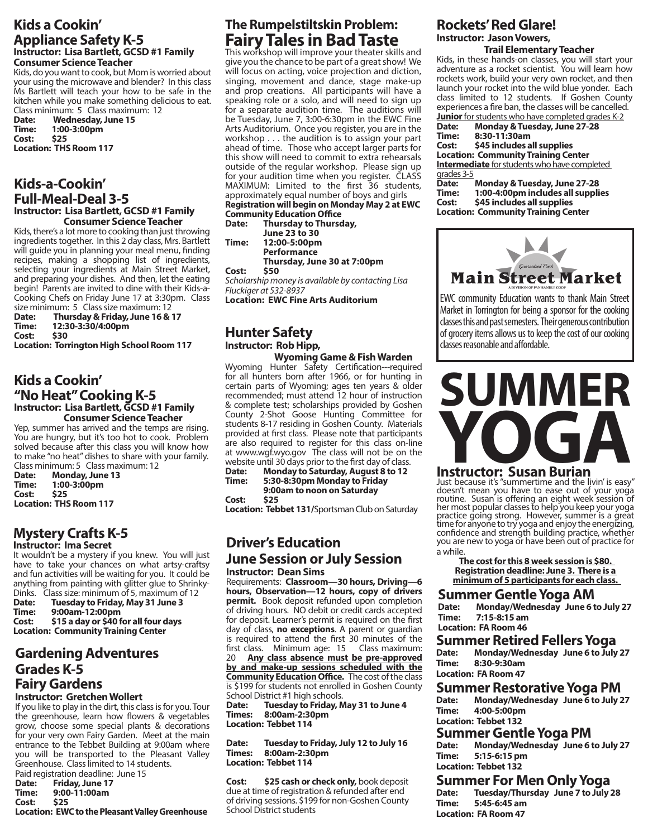#### **Kids a Cookin' Appliance Safety K-5 Instructor: Lisa Bartlett, GCSD #1 Family Consumer Science Teacher**

Kids, do you want to cook, but Mom is worried about your using the microwave and blender? In this class Ms Bartlett will teach your how to be safe in the kitchen while you make something delicious to eat.

Class minimum: 5 Class maximum: 12<br>Date: Wednesday, June 15 Date: Wednesday, June 15<br>Time: 1:00-3:00pm **Time: 1:00-3:00pm Cost: \$25 Location: THS Room 117**

#### **Kids-a-Cookin' Full-Meal-Deal 3-5 Instructor: Lisa Bartlett, GCSD #1 Family Consumer Science Teacher**

Kids, there's a lot more to cooking than just throwing ingredients together. In this 2 day class, Mrs. Bartlett will guide you in planning your meal menu, finding recipes, making a shopping list of ingredients, selecting your ingredients at Main Street Market, and preparing your dishes. And then, let the eating begin! Parents are invited to dine with their Kids-a-Cooking Chefs on Friday June 17 at 3:30pm. Class size minimum: 5 Class size maximum: 12

**Date: Thursday & Friday, June 16 & 17 Time: 12:30-3:30/4:00pm Cost: \$30**

**Location: Torrington High School Room 117**

#### **Kids a Cookin' "No Heat" Cooking K-5 Instructor: Lisa Bartlett, GCSD #1 Family Consumer Science Teacher**

Yep, summer has arrived and the temps are rising. You are hungry, but it's too hot to cook. Problem solved because after this class you will know how to make "no heat" dishes to share with your family.

Class minimum: 5 Class maximum: 12<br>Date: Monday, June 13 **Monday, June 13 Time: 1:00-3:00pm Cost: \$25 Location: THS Room 117**

#### **Mystery Crafts K-5 Instructor: Ima Secret**

It wouldn't be a mystery if you knew. You will just have to take your chances on what artsy-craftsy and fun activities will be waiting for you. It could be anything from painting with glitter glue to Shrinky-

Dinks. Class size: minimum of 5, maximum of 12<br>Date: Tuesday to Friday. May 31 June 3 **Date: Tuesday to Friday, May 31 June 3 Time: 9:00am-12:00pm**

**Cost: \$15 a day or \$40 for all four days Location: Community Training Center**

#### **Gardening Adventures Grades K-5 Fairy Gardens Instructor: Gretchen Wollert**

If you like to play in the dirt, this class is for you. Tour the greenhouse, learn how flowers & vegetables grow, choose some special plants & decorations for your very own Fairy Garden. Meet at the main entrance to the Tebbet Building at 9:00am where you will be transported to the Pleasant Valley Greenhouse. Class limited to 14 students.

Paid registration deadline: June 15<br>Date: Friday, June 17 **Date: Friday, June 17 Time: 9:00-11:00am** Cost: **Location: EWC to the Pleasant Valley Greenhouse**

### **The Rumpelstiltskin Problem: Fairy Tales in Bad Taste**

This workshop will improve your theater skills and give you the chance to be part of a great show! We will focus on acting, voice projection and diction, singing, movement and dance, stage make-up and prop creations. All participants will have a speaking role or a solo, and will need to sign up for a separate audition time. The auditions will be Tuesday, June 7, 3:00-6:30pm in the EWC Fine Arts Auditorium. Once you register, you are in the workshop . . . the audition is to assign your part ahead of time. Those who accept larger parts for this show will need to commit to extra rehearsals outside of the regular workshop. Please sign up for your audition time when you register. CLASS MAXIMUM: Limited to the first 36 students, approximately equal number of boys and girls **Registration will begin on Monday May 2 at EWC** 

**Community Education Office Thursday to Thursday,** 

**June 23 to 30 Time: 12:00-5:00pm**

 **Performance** 

**Thursday, June 30 at 7:00pm**

**Cost: \$50** 

*Scholarship money is available by contacting Lisa Fluckiger at 532-8937* 

**Location: EWC Fine Arts Auditorium**

#### **Hunter Safety Instructor: Rob Hipp,**

 **Wyoming Game & Fish Warden** Wyoming Hunter Safety Certification---required for all hunters born after 1966, or for hunting in certain parts of Wyoming; ages ten years & older recommended; must attend 12 hour of instruction & complete test; scholarships provided by Goshen County 2-Shot Goose Hunting Committee for students 8-17 residing in Goshen County. Materials provided at first class. Please note that participants are also required to register for this class on-line at www.wgf.wyo.gov The class will not be on the website until 30 days prior to the first day of class.<br>**Date:** Monday to Saturday, August 8 to 12

**Date: Monday to Saturday, August 8 to 12 Time: 5:30-8:30pm Monday to Friday 9:00am to noon on Saturday Cost: \$25** 

**Location: Tebbet 131/**Sportsman Club on Saturday

#### **Driver's Education June Session or July Session Instructor: Dean Sims**

Requirements: **Classroom—30 hours, Driving—6 hours, Observation—12 hours, copy of drivers permit.** Book deposit refunded upon completion of driving hours. NO debit or credit cards accepted for deposit. Learner's permit is required on the first day of class, **no exceptions**. A parent or guardian is required to attend the first 30 minutes of the first class. Minimum age: 15 Class maximum: 20 **Any class absence must be pre-approved by and make-up sessions scheduled with the Community Education Office.** The cost of the class is \$199 for students not enrolled in Goshen County School District #1 high schools.

**Date: Tuesday to Friday, May 31 to June 4 Times: 8:00am-2:30pm Location: Tebbet 114**

**Date: Tuesday to Friday, July 12 to July 16 Times: 8:00am-2:30pm Location: Tebbet 114**

**Cost: \$25 cash or check only,** book deposit due at time of registration & refunded after end of driving sessions. \$199 for non-Goshen County School District students

### **Rockets' Red Glare! Instructor: Jason Vowers,**

 **Trail Elementary Teacher** Kids, in these hands-on classes, you will start your adventure as a rocket scientist. You will learn how rockets work, build your very own rocket, and then launch your rocket into the wild blue yonder. Each class limited to 12 students. If Goshen County experiences a fire ban, the classes will be cancelled.

**Junior** for students who have completed grades K-2<br>Date: **Monday & Tuesday, June 27-28 Date: Monday & Tuesday, June 27-28 Time: 8:30-11:30am**

**Cost: \$45 includes all supplies Location: Community Training Center Intermediate** for students who have completed grades 3-5

**Date: Monday & Tuesday, June 27-28 Time: 1:00-4:00pm includes all supplies Cost: \$45 includes all supplies Location: Community Training Center**



EWC community Education wants to thank Main Street Market in Torrington for being a sponsor for the cooking classes this and past semesters. Their generous contribution of grocery items allows us to keep the cost of our cooking classes reasonable and affordable.

# **SUMMER YOGA**

**Instructor: Susan Burian** 

Just because it's "summertime and the livin' is easy" doesn't mean you have to ease out of your yoga routine. Susan is offering an eight week session of her most popular classes to help you keep your yoga practice going strong. However, summer is a great time for anyone to try yoga and enjoy the energizing, confidence and strength building practice, whether you are new to yoga or have been out of practice for a while.

**The cost for this 8 week session is \$80. Registration deadline: June 3. There is a minimum of 5 participants for each class.** 

#### **Summer Gentle Yoga AM**

**Date: Monday/Wednesday June 6 to July 27 Time: 7:15-8:15 am Location: FA Room 46**

**Summer Retired Fellers Yoga**<br> **Date:** Monday/Wednesday June 6 to July **Date: Monday/Wednesday June 6 to July 27 Time: 8:30-9:30am Location: FA Room 47**

## **Summer Restorative Yoga PM**<br>Date: Mondav/Wednesday June 6 to July 2

**Date: Monday/Wednesday June 6 to July 27 Time: 4:00-5:00pm Location: Tebbet 132**

### **Summer Gentle Yoga PM**<br>Date: Mondav/Wednesdav June 6

**Date: Monday/Wednesday June 6 to July 27 Time: 5:15-6:15 pm Location: Tebbet 132**

### **Summer For Men Only Yoga**<br>Date: Tuesday/Thursday June 7 to July 2

**Date: Tuesday/Thursday June 7 to July 28 Time: 5:45-6:45 am Location: FA Room 47**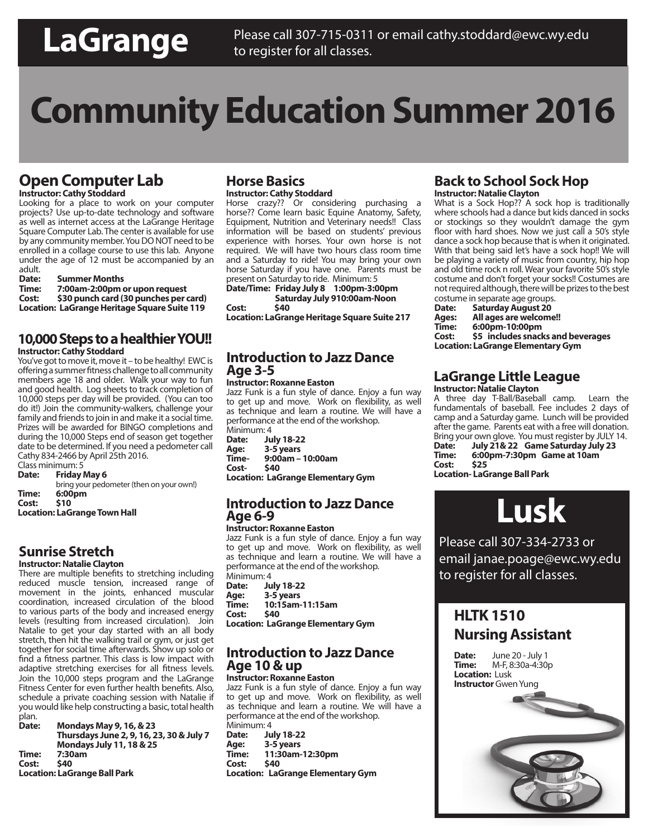## **LaGrange**

## **Community Education Summer 2016**

### **Open Computer Lab**

**Instructor: Cathy Stoddard**

Looking for a place to work on your computer projects? Use up-to-date technology and software as well as internet access at the LaGrange Heritage Square Computer Lab. The center is available for use by any community member. You DO NOT need to be enrolled in a collage course to use this lab. Anyone under the age of 12 must be accompanied by an adult.

| <b>Summer Months</b>                         |
|----------------------------------------------|
| 7:00am-2:00pm or upon request                |
| \$30 punch card (30 punches per card)        |
| Location: LaGrange Heritage Square Suite 119 |
|                                              |

#### **10,000 Steps to a healthier YOU!! Instructor: Cathy Stoddard**

You've got to move it, move it – to be healthy! EWC is offering a summer fitness challenge to all community members age 18 and older. Walk your way to fun and good health. Log sheets to track completion of 10,000 steps per day will be provided. (You can too do it!) Join the community-walkers, challenge your family and friends to join in and make it a social time. Prizes will be awarded for BINGO completions and during the 10,000 Steps end of season get together date to be determined. If you need a pedometer call Cathy 834-2466 by April 25th 2016.

Class minimum: 5<br>**Date:** Fridav **Friday May 6** 

bring your pedometer (then on your own!) **Time: 6:00pm Cost: \$10** 

**Location: LaGrange Town Hall**

#### **Sunrise Stretch**

#### **Instructor: Natalie Clayton**

There are multiple benefits to stretching including reduced muscle tension, increased range of movement in the joints, enhanced muscular coordination, increased circulation of the blood to various parts of the body and increased energy levels (resulting from increased circulation). Join Natalie to get your day started with an all body stretch, then hit the walking trail or gym, or just get together for social time afterwards. Show up solo or find a fitness partner. This class is low impact with adaptive stretching exercises for all fitness levels. Join the 10,000 steps program and the LaGrange Fitness Center for even further health benefits. Also, schedule a private coaching session with Natalie if you would like help constructing a basic, total health plan.<br>**Date:** 

**Date: Mondays May 9, 16, & 23 Thursdays June 2, 9, 16, 23, 30 & July 7 Mondays July 11, 18 & 25 Time: 7:30am Cost: \$40 Location: LaGrange Ball Park** 

#### **Horse Basics Instructor: Cathy Stoddard**

Horse crazy?? Or considering purchasing a horse?? Come learn basic Equine Anatomy, Safety, Equipment, Nutrition and Veterinary needs!! Class information will be based on students' previous experience with horses. Your own horse is not required. We will have two hours class room time and a Saturday to ride! You may bring your own horse Saturday if you have one. Parents must be present on Saturday to ride. Minimum: 5

**Date/Time: Friday July 8 1:00pm-3:00pm Saturday July 910:00am-Noon** 

Cost:

**Location: LaGrange Heritage Square Suite 217**

#### **Introduction to Jazz Dance Age 3-5**

#### **Instructor: Roxanne Easton**

Jazz Funk is a fun style of dance. Enjoy a fun way to get up and move. Work on flexibility, as well as technique and learn a routine. We will have a performance at the end of the workshop.

Minimum: 4<br>**Date:** Ju **Date: July 18-22 Age: 3-5 years Time- 9:00am – 10:00am** Cost-**Location: LaGrange Elementary Gym**

#### **Introduction to Jazz Dance Age 6-9**

#### **Instructor: Roxanne Easton**

Jazz Funk is a fun style of dance. Enjoy a fun way to get up and move. Work on flexibility, as well as technique and learn a routine. We will have a performance at the end of the workshop.

Minimum: 4<br>**Date:** Ju **Date: July 18-22 Age: 3-5 years Time: 10:15am-11:15am Cost: \$40 Location: LaGrange Elementary Gym**

#### **Introduction to Jazz Dance Age 10 & up**

**Instructor: Roxanne Easton** Jazz Funk is a fun style of dance. Enjoy a fun way to get up and move. Work on flexibility, as well as technique and learn a routine. We will have a performance at the end of the workshop. Minimum: 4

**Date: July 18-22 Age: 3-5 years Time: 11:30am-12:30pm Cost: \$40**

**Location: LaGrange Elementary Gym**

#### **Back to School Sock Hop Instructor: Natalie Clayton**

What is a Sock Hop?? A sock hop is traditionally where schools had a dance but kids danced in socks or stockings so they wouldn't damage the gym floor with hard shoes. Now we just call a 50's style dance a sock hop because that is when it originated. With that being said let's have a sock hop!! We will be playing a variety of music from country, hip hop and old time rock n roll. Wear your favorite 50's style costume and don't forget your socks!! Costumes are not required although, there will be prizes to the best

costume in separate age groups.<br>Date: Saturday August 20 **Saturday August 20 Ages: All ages are welcome!! Time:** 6:00pm-10:00pm<br>Cost: 55 includes spack **Cost: \$5 includes snacks and beverages Location: LaGrange Elementary Gym**

#### **LaGrange Little League Instructor: Natalie Clayton**

A three day T-Ball/Baseball camp. Learn the fundamentals of baseball. Fee includes 2 days of camp and a Saturday game. Lunch will be provided after the game. Parents eat with a free will donation. Bring your own glove. You must register by JULY 14.<br>Date: July 21& 22 Game Saturday July 23 **Date: July 21& 22 Game Saturday July 23 Time: 6:00pm-7:30pm Game at 10am** Cost: **Location- LaGrange Ball Park**

**Lusk**

Please call 307-334-2733 or email janae.poage@ewc.wy.edu to register for all classes.

### **HLTK 1510 Nursing Assistant**

**Date:** June 20 - July 1<br>**Time:** M-F. 8:30a-4:30 **Time:** M-F, 8:30a-4:30p **Location:** Lusk **Instructor** Gwen Yung